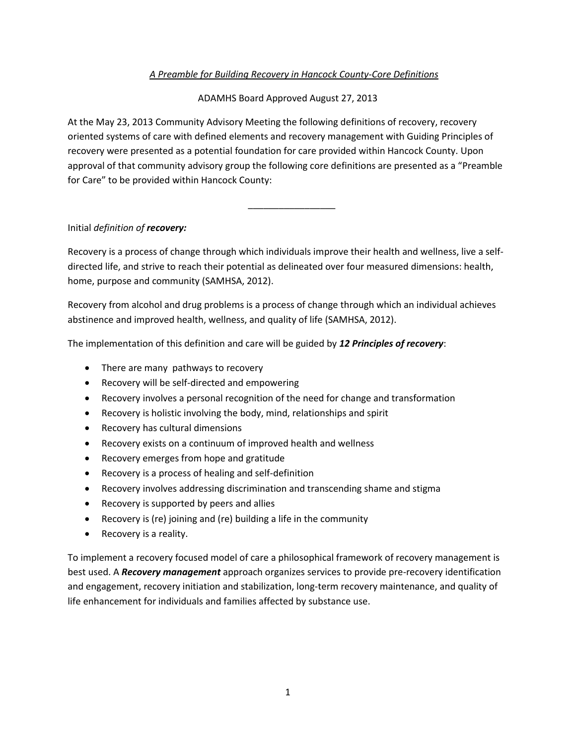## *A Preamble for Building Recovery in Hancock County-Core Definitions*

## ADAMHS Board Approved August 27, 2013

At the May 23, 2013 Community Advisory Meeting the following definitions of recovery, recovery oriented systems of care with defined elements and recovery management with Guiding Principles of recovery were presented as a potential foundation for care provided within Hancock County. Upon approval of that community advisory group the following core definitions are presented as a "Preamble for Care" to be provided within Hancock County:

 $\frac{1}{\sqrt{2}}$  ,  $\frac{1}{\sqrt{2}}$  ,  $\frac{1}{\sqrt{2}}$  ,  $\frac{1}{\sqrt{2}}$  ,  $\frac{1}{\sqrt{2}}$  ,  $\frac{1}{\sqrt{2}}$  ,  $\frac{1}{\sqrt{2}}$  ,  $\frac{1}{\sqrt{2}}$  ,  $\frac{1}{\sqrt{2}}$  ,  $\frac{1}{\sqrt{2}}$  ,  $\frac{1}{\sqrt{2}}$  ,  $\frac{1}{\sqrt{2}}$  ,  $\frac{1}{\sqrt{2}}$  ,  $\frac{1}{\sqrt{2}}$  ,  $\frac{1}{\sqrt{2}}$ 

## Initial *definition of recovery:*

Recovery is a process of change through which individuals improve their health and wellness, live a selfdirected life, and strive to reach their potential as delineated over four measured dimensions: health, home, purpose and community (SAMHSA, 2012).

Recovery from alcohol and drug problems is a process of change through which an individual achieves abstinence and improved health, wellness, and quality of life (SAMHSA, 2012).

The implementation of this definition and care will be guided by *12 Principles of recovery*:

- There are many pathways to recovery
- Recovery will be self-directed and empowering
- Recovery involves a personal recognition of the need for change and transformation
- Recovery is holistic involving the body, mind, relationships and spirit
- Recovery has cultural dimensions
- Recovery exists on a continuum of improved health and wellness
- Recovery emerges from hope and gratitude
- Recovery is a process of healing and self-definition
- Recovery involves addressing discrimination and transcending shame and stigma
- Recovery is supported by peers and allies
- Recovery is (re) joining and (re) building a life in the community
- Recovery is a reality.

To implement a recovery focused model of care a philosophical framework of recovery management is best used. A *Recovery management* approach organizes services to provide pre-recovery identification and engagement, recovery initiation and stabilization, long-term recovery maintenance, and quality of life enhancement for individuals and families affected by substance use.